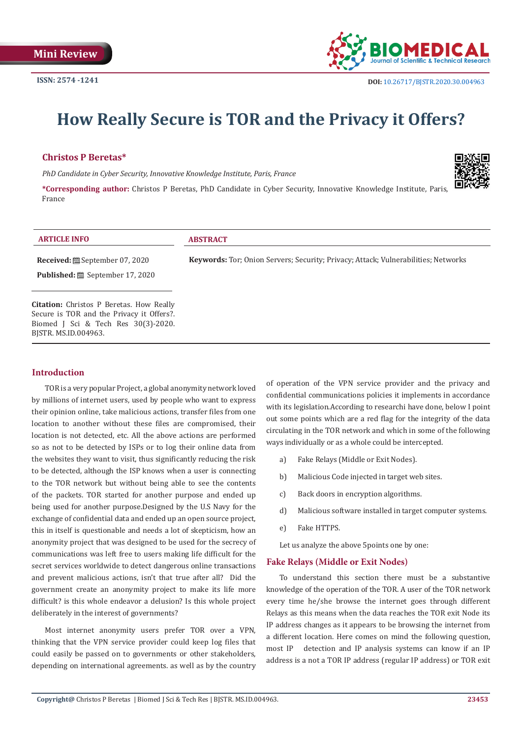

# **How Really Secure is TOR and the Privacy it Offers?**

# **Christos P Beretas\***

*PhD Candidate in Cyber Security, Innovative Knowledge Institute, Paris, France*

**\*Corresponding author:** Christos P Beretas, PhD Candidate in Cyber Security, Innovative Knowledge Institute, Paris, France



| <b>ARTICLE INFO</b>                             | <b>ABSTRACT</b>                                                                    |
|-------------------------------------------------|------------------------------------------------------------------------------------|
|                                                 | Keywords: Tor; Onion Servers; Security; Privacy; Attack; Vulnerabilities; Networks |
| <b>Published:</b> ■ September 17, 2020          |                                                                                    |
|                                                 |                                                                                    |
| <b>Citation:</b> Christos P Beretas. How Really |                                                                                    |
| Secure is TOR and the Privacy it Offers?.       |                                                                                    |
| Biomed J Sci & Tech Res 30(3)-2020.             |                                                                                    |
| BISTR. MS.ID.004963.                            |                                                                                    |

# **Introduction**

TOR is a very popular Project, a global anonymity network loved by millions of internet users, used by people who want to express their opinion online, take malicious actions, transfer files from one location to another without these files are compromised, their location is not detected, etc. All the above actions are performed so as not to be detected by ISPs or to log their online data from the websites they want to visit, thus significantly reducing the risk to be detected, although the ISP knows when a user is connecting to the TOR network but without being able to see the contents of the packets. TOR started for another purpose and ended up being used for another purpose.Designed by the U.S Navy for the exchange of confidential data and ended up an open source project, this in itself is questionable and needs a lot of skepticism, how an anonymity project that was designed to be used for the secrecy of communications was left free to users making life difficult for the secret services worldwide to detect dangerous online transactions and prevent malicious actions, isn't that true after all? Did the government create an anonymity project to make its life more difficult? is this whole endeavor a delusion? Is this whole project deliberately in the interest of governments?

Most internet anonymity users prefer TOR over a VPN, thinking that the VPN service provider could keep log files that could easily be passed on to governments or other stakeholders, depending on international agreements. as well as by the country of operation of the VPN service provider and the privacy and confidential communications policies it implements in accordance with its legislation.According to researchi have done, below I point out some points which are a red flag for the integrity of the data circulating in the TOR network and which in some of the following ways individually or as a whole could be intercepted.

- a) Fake Relays (Middle or Exit Nodes).
- b) Malicious Code injected in target web sites.
- c) Back doors in encryption algorithms.
- d) Malicious software installed in target computer systems.
- e) Fake HTTPS.

Let us analyze the above 5points one by one:

### **Fake Relays (Middle or Exit Nodes)**

To understand this section there must be a substantive knowledge of the operation of the TOR. A user of the TOR network every time he/she browse the internet goes through different Relays as this means when the data reaches the TOR exit Node its IP address changes as it appears to be browsing the internet from a different location. Here comes on mind the following question, most IP detection and IP analysis systems can know if an IP address is a not a TOR IP address (regular IP address) or TOR exit